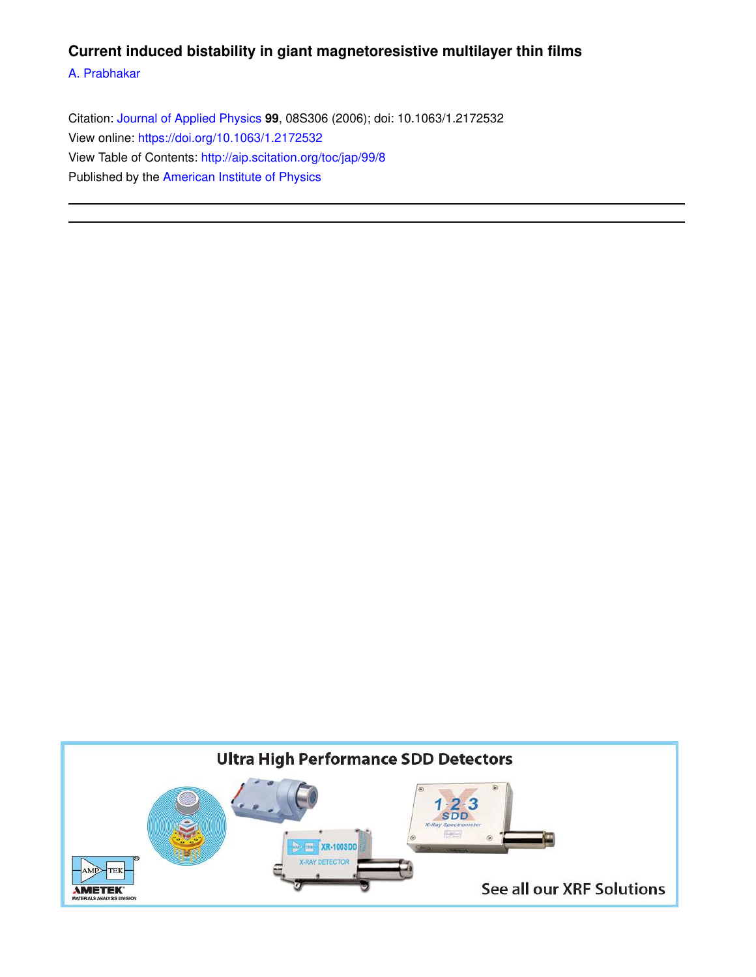## **Current induced bistability in giant magnetoresistive multilayer thin films**

A. Prabhakar

Citation: Journal of Applied Physics **99**, 08S306 (2006); doi: 10.1063/1.2172532 View online: https://doi.org/10.1063/1.2172532 View Table of Contents: http://aip.scitation.org/toc/jap/99/8 Published by the American Institute of Physics

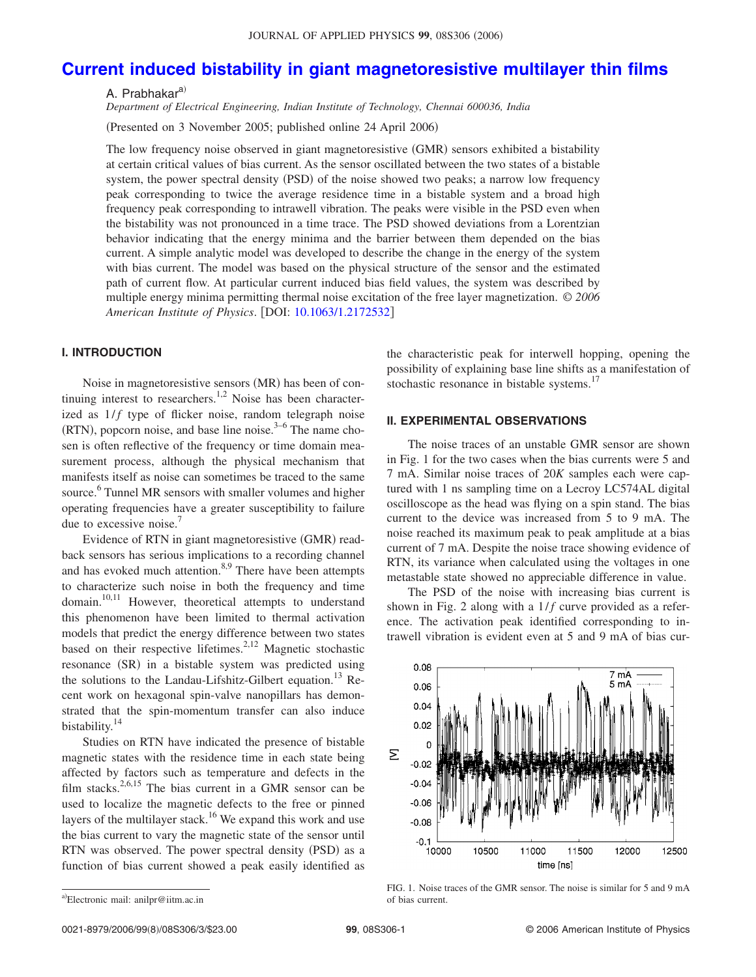# **Current induced bistability in giant magnetoresistive multilayer thin films**

A. Prabhakar<sup>a)</sup>

*Department of Electrical Engineering, Indian Institute of Technology, Chennai 600036, India*

Presented on 3 November 2005; published online 24 April 2006-

The low frequency noise observed in giant magnetoresistive (GMR) sensors exhibited a bistability at certain critical values of bias current. As the sensor oscillated between the two states of a bistable system, the power spectral density (PSD) of the noise showed two peaks; a narrow low frequency peak corresponding to twice the average residence time in a bistable system and a broad high frequency peak corresponding to intrawell vibration. The peaks were visible in the PSD even when the bistability was not pronounced in a time trace. The PSD showed deviations from a Lorentzian behavior indicating that the energy minima and the barrier between them depended on the bias current. A simple analytic model was developed to describe the change in the energy of the system with bias current. The model was based on the physical structure of the sensor and the estimated path of current flow. At particular current induced bias field values, the system was described by multiple energy minima permitting thermal noise excitation of the free layer magnetization. © *2006 American Institute of Physics*. DOI: 10.1063/1.2172532

## **I. INTRODUCTION**

Noise in magnetoresistive sensors (MR) has been of continuing interest to researchers.<sup>1,2</sup> Noise has been characterized as  $1/f$  type of flicker noise, random telegraph noise  $(RTN)$ , popcorn noise, and base line noise.<sup>3–6</sup> The name chosen is often reflective of the frequency or time domain measurement process, although the physical mechanism that manifests itself as noise can sometimes be traced to the same source.<sup>6</sup> Tunnel MR sensors with smaller volumes and higher operating frequencies have a greater susceptibility to failure due to excessive noise.<sup>7</sup>

Evidence of RTN in giant magnetoresistive (GMR) readback sensors has serious implications to a recording channel and has evoked much attention.<sup>8,9</sup> There have been attempts to characterize such noise in both the frequency and time domain.<sup>10,11</sup> However, theoretical attempts to understand this phenomenon have been limited to thermal activation models that predict the energy difference between two states based on their respective lifetimes.<sup>2,12</sup> Magnetic stochastic resonance (SR) in a bistable system was predicted using the solutions to the Landau-Lifshitz-Gilbert equation.<sup>13</sup> Recent work on hexagonal spin-valve nanopillars has demonstrated that the spin-momentum transfer can also induce bistability.<sup>14</sup>

Studies on RTN have indicated the presence of bistable magnetic states with the residence time in each state being affected by factors such as temperature and defects in the film stacks.<sup>2,6,15</sup> The bias current in a GMR sensor can be used to localize the magnetic defects to the free or pinned layers of the multilayer stack.<sup>16</sup> We expand this work and use the bias current to vary the magnetic state of the sensor until RTN was observed. The power spectral density (PSD) as a function of bias current showed a peak easily identified as

the characteristic peak for interwell hopping, opening the possibility of explaining base line shifts as a manifestation of stochastic resonance in bistable systems.<sup>17</sup>

### **II. EXPERIMENTAL OBSERVATIONS**

The noise traces of an unstable GMR sensor are shown in Fig. 1 for the two cases when the bias currents were 5 and 7 mA. Similar noise traces of 20*K* samples each were captured with 1 ns sampling time on a Lecroy LC574AL digital oscilloscope as the head was flying on a spin stand. The bias current to the device was increased from 5 to 9 mA. The noise reached its maximum peak to peak amplitude at a bias current of 7 mA. Despite the noise trace showing evidence of RTN, its variance when calculated using the voltages in one metastable state showed no appreciable difference in value.

The PSD of the noise with increasing bias current is shown in Fig. 2 along with a  $1/f$  curve provided as a reference. The activation peak identified corresponding to intrawell vibration is evident even at 5 and 9 mA of bias cur-



FIG. 1. Noise traces of the GMR sensor. The noise is similar for 5 and 9 mA of bias current.

a)Electronic mail: anilpr@iitm.ac.in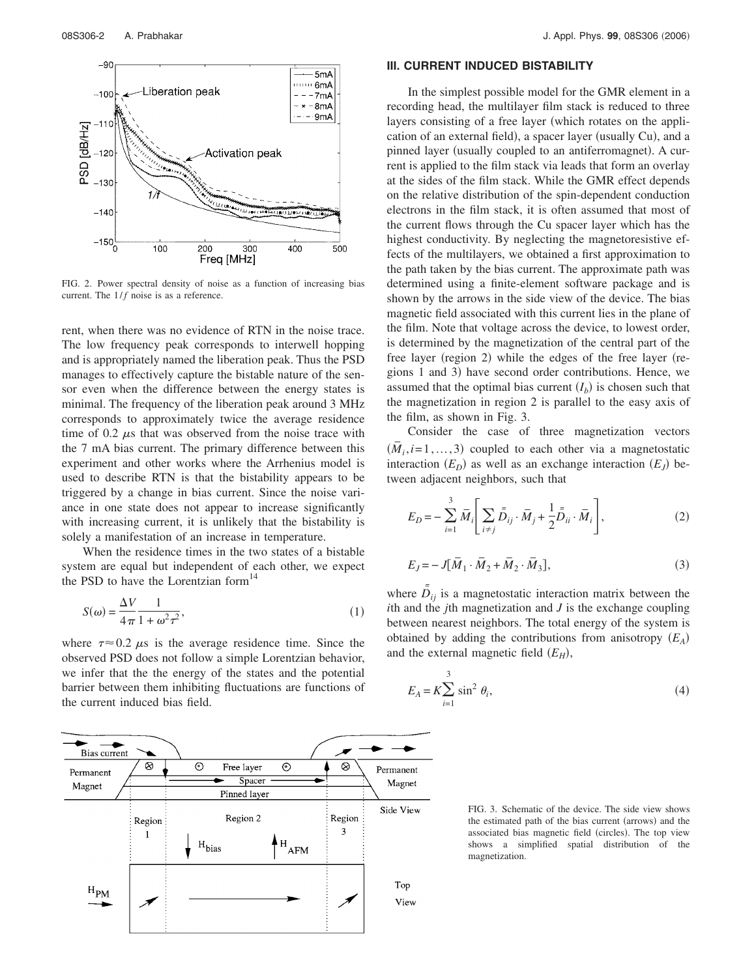

FIG. 2. Power spectral density of noise as a function of increasing bias current. The  $1/f$  noise is as a reference.

rent, when there was no evidence of RTN in the noise trace. The low frequency peak corresponds to interwell hopping and is appropriately named the liberation peak. Thus the PSD manages to effectively capture the bistable nature of the sensor even when the difference between the energy states is minimal. The frequency of the liberation peak around 3 MHz corresponds to approximately twice the average residence time of 0.2  $\mu$ s that was observed from the noise trace with the 7 mA bias current. The primary difference between this experiment and other works where the Arrhenius model is used to describe RTN is that the bistability appears to be triggered by a change in bias current. Since the noise variance in one state does not appear to increase significantly with increasing current, it is unlikely that the bistability is solely a manifestation of an increase in temperature.

When the residence times in the two states of a bistable system are equal but independent of each other, we expect the PSD to have the Lorentzian form $14$ 

$$
S(\omega) = \frac{\Delta V}{4\pi} \frac{1}{1 + \omega^2 \tau^2},\tag{1}
$$

where  $\tau \approx 0.2 \mu s$  is the average residence time. Since the observed PSD does not follow a simple Lorentzian behavior, we infer that the the energy of the states and the potential barrier between them inhibiting fluctuations are functions of the current induced bias field.

#### **III. CURRENT INDUCED BISTABILITY**

In the simplest possible model for the GMR element in a recording head, the multilayer film stack is reduced to three layers consisting of a free layer (which rotates on the application of an external field), a spacer layer (usually Cu), and a pinned layer (usually coupled to an antiferromagnet). A current is applied to the film stack via leads that form an overlay at the sides of the film stack. While the GMR effect depends on the relative distribution of the spin-dependent conduction electrons in the film stack, it is often assumed that most of the current flows through the Cu spacer layer which has the highest conductivity. By neglecting the magnetoresistive effects of the multilayers, we obtained a first approximation to the path taken by the bias current. The approximate path was determined using a finite-element software package and is shown by the arrows in the side view of the device. The bias magnetic field associated with this current lies in the plane of the film. Note that voltage across the device, to lowest order, is determined by the magnetization of the central part of the free layer (region 2) while the edges of the free layer (regions 1 and 3) have second order contributions. Hence, we assumed that the optimal bias current  $(I_b)$  is chosen such that the magnetization in region 2 is parallel to the easy axis of the film, as shown in Fig. 3.

Consider the case of three magnetization vectors  $(\overline{M}_i, i=1, 3)$  coupled to each other via a magnetostatic interaction  $(E_D)$  as well as an exchange interaction  $(E_J)$  between adjacent neighbors, such that

$$
E_D = -\sum_{i=1}^3 \overline{M}_i \left[ \sum_{i \neq j} \overline{\overline{D}}_{ij} \cdot \overline{M}_j + \frac{1}{2} \overline{\overline{D}}_{ii} \cdot \overline{M}_i \right],
$$
 (2)

$$
E_J = -J[\bar{M}_1 \cdot \bar{M}_2 + \bar{M}_2 \cdot \bar{M}_3],\tag{3}
$$

where  $\bar{D}_{ij}$  is a magnetostatic interaction matrix between the *i*th and the *j*th magnetization and *J* is the exchange coupling between nearest neighbors. The total energy of the system is obtained by adding the contributions from anisotropy *EA*and the external magnetic field  $(E_H)$ ,

$$
E_A = K \sum_{i=1}^{3} \sin^2 \theta_i,
$$
\n<sup>(4)</sup>



FIG. 3. Schematic of the device. The side view shows the estimated path of the bias current (arrows) and the associated bias magnetic field (circles). The top view shows a simplified spatial distribution of the magnetization.